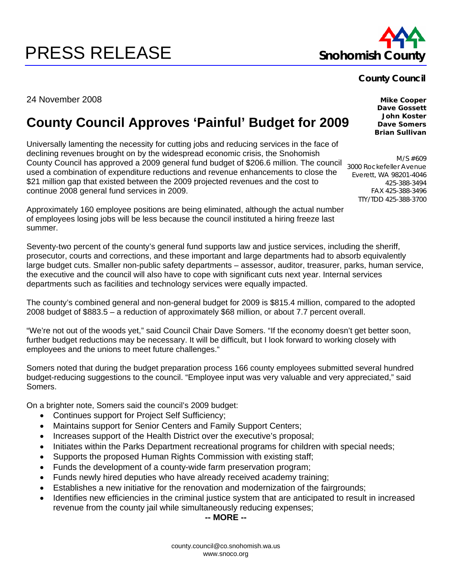## county.council@co.snohomish.wa.us www.snoco.org

24 November 2008

## **County Council Approves 'Painful' Budget for 2009**

Universally lamenting the necessity for cutting jobs and reducing services in the face of declining revenues brought on by the widespread economic crisis, the Snohomish County Council has approved a 2009 general fund budget of \$206.6 million. The council used a combination of expenditure reductions and revenue enhancements to close the \$21 million gap that existed between the 2009 projected revenues and the cost to continue 2008 general fund services in 2009.

Approximately 160 employee positions are being eliminated, although the actual number of employees losing jobs will be less because the council instituted a hiring freeze last summer.

Seventy-two percent of the county's general fund supports law and justice services, including the sheriff, prosecutor, courts and corrections, and these important and large departments had to absorb equivalently large budget cuts. Smaller non-public safety departments – assessor, auditor, treasurer, parks, human service, the executive and the council will also have to cope with significant cuts next year. Internal services departments such as facilities and technology services were equally impacted.

The county's combined general and non-general budget for 2009 is \$815.4 million, compared to the adopted 2008 budget of \$883.5 – a reduction of approximately \$68 million, or about 7.7 percent overall.

"We're not out of the woods yet," said Council Chair Dave Somers. "If the economy doesn't get better soon, further budget reductions may be necessary. It will be difficult, but I look forward to working closely with employees and the unions to meet future challenges."

Somers noted that during the budget preparation process 166 county employees submitted several hundred budget-reducing suggestions to the council. "Employee input was very valuable and very appreciated," said Somers.

On a brighter note, Somers said the council's 2009 budget:

- Continues support for Project Self Sufficiency;
- Maintains support for Senior Centers and Family Support Centers;
- Increases support of the Health District over the executive's proposal;
- Initiates within the Parks Department recreational programs for children with special needs;
- Supports the proposed Human Rights Commission with existing staff;
- Funds the development of a county-wide farm preservation program;
- Funds newly hired deputies who have already received academy training;
- Establishes a new initiative for the renovation and modernization of the fairgrounds;
- Identifies new efficiencies in the criminal justice system that are anticipated to result in increased revenue from the county jail while simultaneously reducing expenses;

**-- MORE --** 

**PRESS RELEASE** Snohomish County

**Mike Cooper Dave Gossett John Koster Dave Somers** 

**Brian Sullivan** 

M/S #609 3000 Rockefeller Avenue Everett, WA 98201-4046 425-388-3494 FAX 425-388-3496 TTY/TDD 425-388-3700

**County Council**